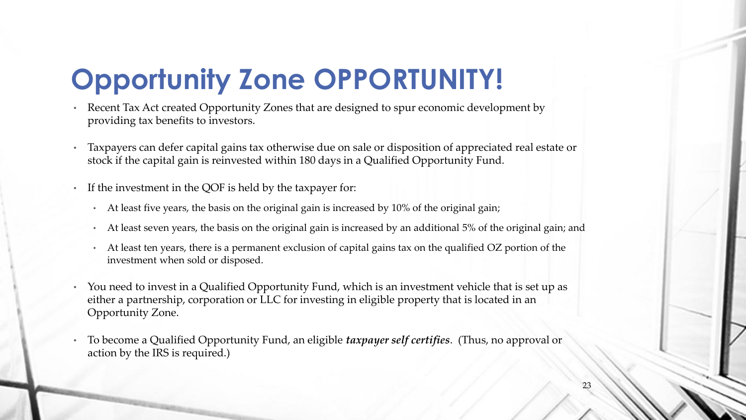## **Opportunity Zone OPPORTUNITY!**

- Recent Tax Act created Opportunity Zones that are designed to spur economic development by providing tax benefits to investors.
- Taxpayers can defer capital gains tax otherwise due on sale or disposition of appreciated real estate or stock if the capital gain is reinvested within 180 days in a Qualified Opportunity Fund.
- If the investment in the QOF is held by the taxpayer for:
	- At least five years, the basis on the original gain is increased by 10% of the original gain;
	- At least seven years, the basis on the original gain is increased by an additional 5% of the original gain; and
	- At least ten years, there is a permanent exclusion of capital gains tax on the qualified OZ portion of the investment when sold or disposed.
- You need to invest in a Qualified Opportunity Fund, which is an investment vehicle that is set up as either a partnership, corporation or LLC for investing in eligible property that is located in an Opportunity Zone.
- To become a Qualified Opportunity Fund, an eligible *taxpayer self certifies*. (Thus, no approval or action by the IRS is required.)